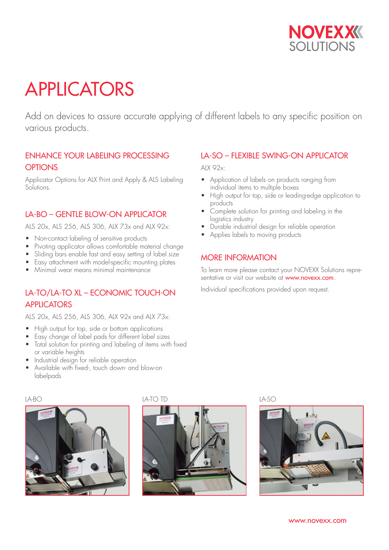

# APPLICATORS

Add on devices to assure accurate applying of different labels to any specific position on various products.

#### ENHANCE YOUR LABELING PROCESSING **OPTIONS**

Applicator Options for ALX Print and Apply & ALS Labeling Solutions.

#### LA-BO – GENTLE BLOW-ON APPLICATOR

ALS 20x, ALS 256, ALS 306, ALX 73x and ALX 92x:

- Non-contact labeling of sensitive products<br>• Pivoting applicator allows comfortable ma
- Pivoting applicator allows comfortable material change
- Sliding bars enable fast and easy setting of label size
- Easy attachment with model-specific mounting plates
- Minimal wear means minimal maintenance

## LA-TO/LA-TO XL – ECONOMIC TOUCH-ON **APPLICATORS**

ALS 20x, ALS 256, ALS 306, ALX 92x and ALX 73x:

- High output for top, side or bottom applications
- Easy change of label pads for different label sizes
- Total solution for printing and labeling of items with fixed or variable heights
- Industrial design for reliable operation
- Available with fixed-, touch down- and blow-on labelpads

#### LA-SO – FLEXIBLE SWING-ON APPLICATOR

ALX 92x:

- Application of labels on products ranging from individual items to multiple boxes
- High output for top, side or leading-edge application to products
- Complete solution for printing and labeling in the logistics industry
- Durable industrial design for reliable operation
- Applies labels to moving products

#### MORE INFORMATION

To learn more please contact your NOVEXX Solutions representative or visit our website at www.novexx.com.

Individual specifications provided upon request.





#### LA-BO LA-TO TD LA-SO